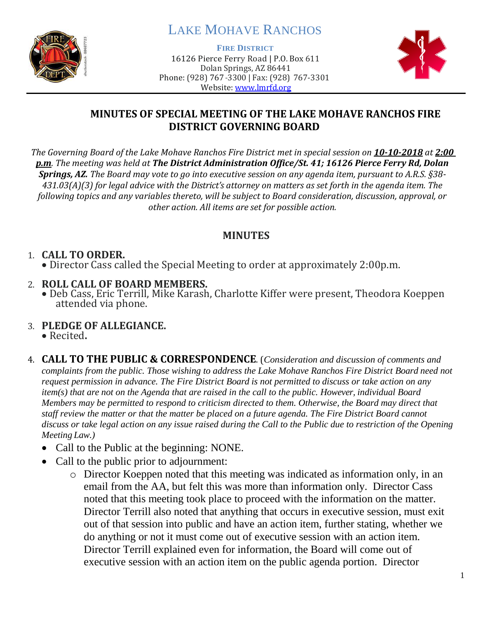

# LAKE MOHAVE RANCHOS

**FIRE DISTRICT**

16126 Pierce Ferry Road | P.O. Box 611 Dolan Springs, AZ 86441 Phone: (928) 767-3300 | Fax: (928) 767-3301 Website: [www.lmrfd.org](http://www.lmrfd.org/)



### **MINUTES OF SPECIAL MEETING OF THE LAKE MOHAVE RANCHOS FIRE DISTRICT GOVERNING BOARD**

*The Governing Board of the Lake Mohave Ranchos Fire District met in special session on 10-10-2018 at 2:00 p.m. The meeting was held at The District Administration Office/St. 41; 16126 Pierce Ferry Rd, Dolan Springs, AZ. The Board may vote to go into executive session on any agenda item, pursuant to A.R.S. §38- 431.03(A)(3) for legal advice with the District's attorney on matters as set forth in the agenda item. The following topics and any variables thereto, will be subject to Board consideration, discussion, approval, or other action. All items are set for possible action.*

### **MINUTES**

#### 1. **CALL TO ORDER.** • Director Cass called the Special Meeting to order at approximately 2:00p.m.

#### 2. **ROLL CALL OF BOARD MEMBERS.**

- Deb Cass, Eric Terrill, Mike Karash, Charlotte Kiffer were present, Theodora Koeppen attended via phone.
- 3. **PLEDGE OF ALLEGIANCE.**

• Recited**.** 

- 4. **CALL TO THE PUBLIC & CORRESPONDENCE**. (*Consideration and discussion of comments and complaints from the public. Those wishing to address the Lake Mohave Ranchos Fire District Board need not request permission in advance. The Fire District Board is not permitted to discuss or take action on any item(s) that are not on the Agenda that are raised in the call to the public. However, individual Board Members may be permitted to respond to criticism directed to them. Otherwise, the Board may direct that staff review the matter or that the matter be placed on a future agenda. The Fire District Board cannot discuss or take legal action on any issue raised during the Call to the Public due to restriction of the Opening Meeting Law.)*
	- Call to the Public at the beginning: NONE.
	- Call to the public prior to adjournment:
		- o Director Koeppen noted that this meeting was indicated as information only, in an email from the AA, but felt this was more than information only. Director Cass noted that this meeting took place to proceed with the information on the matter. Director Terrill also noted that anything that occurs in executive session, must exit out of that session into public and have an action item, further stating, whether we do anything or not it must come out of executive session with an action item. Director Terrill explained even for information, the Board will come out of executive session with an action item on the public agenda portion. Director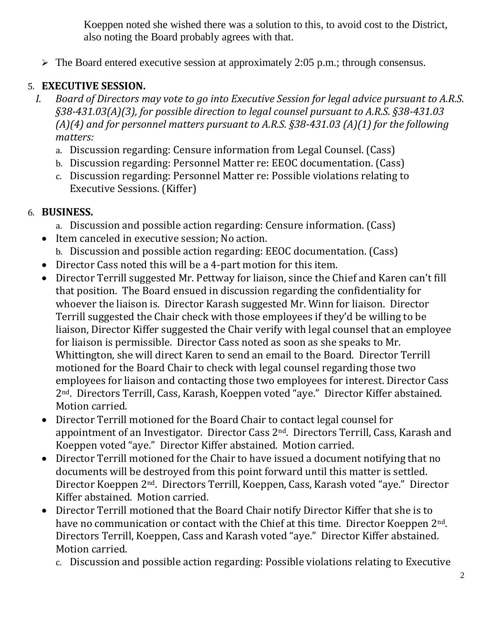Koeppen noted she wished there was a solution to this, to avoid cost to the District, also noting the Board probably agrees with that.

➢ The Board entered executive session at approximately 2:05 p.m.; through consensus.

### 5. **EXECUTIVE SESSION.**

- *I. Board of Directors may vote to go into Executive Session for legal advice pursuant to A.R.S. §38-431.03(A)(3), for possible direction to legal counsel pursuant to A.R.S. §38-431.03 (A)(4) and for personnel matters pursuant to A.R.S. §38-431.03 (A)(1) for the following matters:*
	- a. Discussion regarding: Censure information from Legal Counsel. (Cass)
	- b. Discussion regarding: Personnel Matter re: EEOC documentation. (Cass)
	- c. Discussion regarding: Personnel Matter re: Possible violations relating to Executive Sessions. (Kiffer)

### 6. **BUSINESS.**

- a. Discussion and possible action regarding: Censure information. (Cass)
- Item canceled in executive session; No action.
	- b. Discussion and possible action regarding: EEOC documentation. (Cass)
- Director Cass noted this will be a 4-part motion for this item.
- Director Terrill suggested Mr. Pettway for liaison, since the Chief and Karen can't fill that position. The Board ensued in discussion regarding the confidentiality for whoever the liaison is. Director Karash suggested Mr. Winn for liaison. Director Terrill suggested the Chair check with those employees if they'd be willing to be liaison, Director Kiffer suggested the Chair verify with legal counsel that an employee for liaison is permissible. Director Cass noted as soon as she speaks to Mr. Whittington, she will direct Karen to send an email to the Board. Director Terrill motioned for the Board Chair to check with legal counsel regarding those two employees for liaison and contacting those two employees for interest. Director Cass 2nd. Directors Terrill, Cass, Karash, Koeppen voted "aye." Director Kiffer abstained. Motion carried.
- Director Terrill motioned for the Board Chair to contact legal counsel for appointment of an Investigator. Director Cass 2nd. Directors Terrill, Cass, Karash and Koeppen voted "aye." Director Kiffer abstained. Motion carried.
- Director Terrill motioned for the Chair to have issued a document notifying that no documents will be destroyed from this point forward until this matter is settled. Director Koeppen 2nd. Directors Terrill, Koeppen, Cass, Karash voted "aye." Director Kiffer abstained. Motion carried.
- Director Terrill motioned that the Board Chair notify Director Kiffer that she is to have no communication or contact with the Chief at this time. Director Koeppen 2<sup>nd</sup>. Directors Terrill, Koeppen, Cass and Karash voted "aye." Director Kiffer abstained. Motion carried.
	- c. Discussion and possible action regarding: Possible violations relating to Executive